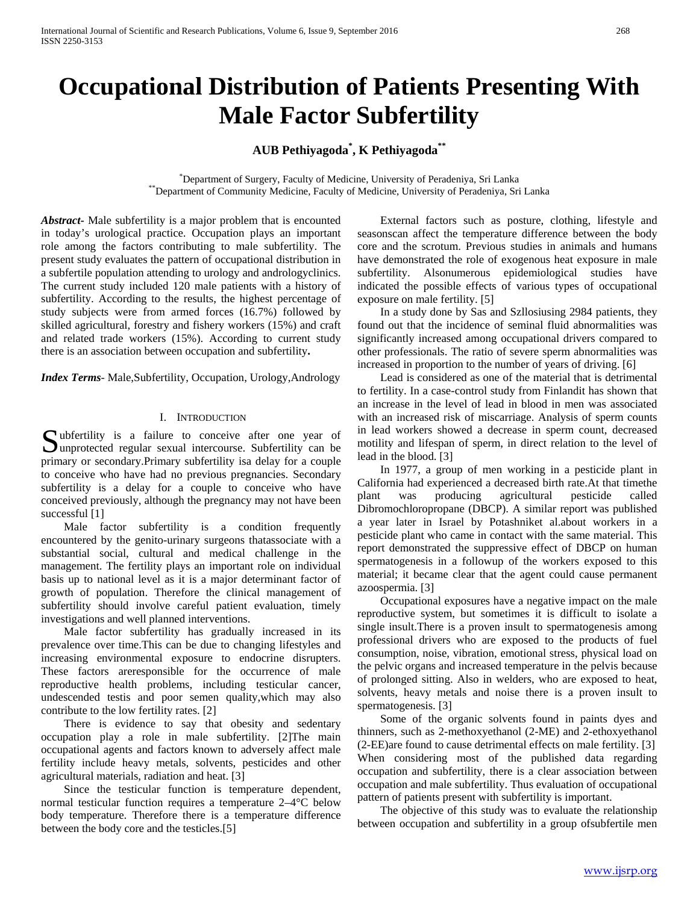# **Occupational Distribution of Patients Presenting With Male Factor Subfertility**

# **AUB Pethiyagoda\* , K Pethiyagoda\*\***

\*Department of Surgery, Faculty of Medicine, University of Peradeniya, Sri Lanka \*\*Department of Community Medicine, Faculty of Medicine, University of Peradeniya, Sri Lanka

*Abstract***-** Male subfertility is a major problem that is encounted in today's urological practice. Occupation plays an important role among the factors contributing to male subfertility. The present study evaluates the pattern of occupational distribution in a subfertile population attending to urology and andrologyclinics. The current study included 120 male patients with a history of subfertility. According to the results, the highest percentage of study subjects were from armed forces (16.7%) followed by skilled agricultural, forestry and fishery workers (15%) and craft and related trade workers (15%). According to current study there is an association between occupation and subfertility**.**

*Index Terms*- Male,Subfertility, Occupation, Urology,Andrology

### I. INTRODUCTION

Unitallity is a failure to conceive after one year of Subfertility is a failure to conceive after one year of unprotected regular sexual intercourse. Subfertility can be primary or secondary.Primary subfertility isa delay for a couple to conceive who have had no previous pregnancies. Secondary subfertility is a delay for a couple to conceive who have conceived previously, although the pregnancy may not have been successful [1]

 Male factor subfertility is a condition frequently encountered by the genito-urinary surgeons thatassociate with a substantial social, cultural and medical challenge in the management. The fertility plays an important role on individual basis up to national level as it is a major determinant factor of growth of population. Therefore the clinical management of subfertility should involve careful patient evaluation, timely investigations and well planned interventions.

 Male factor subfertility has gradually increased in its prevalence over time.This can be due to changing lifestyles and increasing environmental exposure to endocrine disrupters. These factors areresponsible for the occurrence of male reproductive health problems, including testicular cancer, undescended testis and poor semen quality,which may also contribute to the low fertility rates. [2]

 There is evidence to say that obesity and sedentary occupation play a role in male subfertility. [2]The main occupational agents and factors known to adversely affect male fertility include heavy metals, solvents, pesticides and other agricultural materials, radiation and heat. [3]

 Since the testicular function is temperature dependent, normal testicular function requires a temperature 2–4°C below body temperature. Therefore there is a temperature difference between the body core and the testicles.[5]

 External factors such as posture, clothing, lifestyle and seasonscan affect the temperature difference between the body core and the scrotum. Previous studies in animals and humans have demonstrated the role of exogenous heat exposure in male subfertility. Alsonumerous epidemiological studies have indicated the possible effects of various types of occupational exposure on male fertility. [5]

 In a study done by Sas and Szllosiusing 2984 patients, they found out that the incidence of seminal fluid abnormalities was significantly increased among occupational drivers compared to other professionals. The ratio of severe sperm abnormalities was increased in proportion to the number of years of driving. [6]

 Lead is considered as one of the material that is detrimental to fertility. In a case-control study from Finlandit has shown that an increase in the level of lead in blood in men was associated with an increased risk of miscarriage. Analysis of sperm counts in lead workers showed a decrease in sperm count, decreased motility and lifespan of sperm, in direct relation to the level of lead in the blood. [3]

 In 1977, a group of men working in a pesticide plant in California had experienced a decreased birth rate.At that timethe plant was producing agricultural pesticide called Dibromochloropropane (DBCP). A similar report was published a year later in Israel by Potashniket al.about workers in a pesticide plant who came in contact with the same material. This report demonstrated the suppressive effect of DBCP on human spermatogenesis in a followup of the workers exposed to this material; it became clear that the agent could cause permanent azoospermia. [3]

 Occupational exposures have a negative impact on the male reproductive system, but sometimes it is difficult to isolate a single insult.There is a proven insult to spermatogenesis among professional drivers who are exposed to the products of fuel consumption, noise, vibration, emotional stress, physical load on the pelvic organs and increased temperature in the pelvis because of prolonged sitting. Also in welders, who are exposed to heat, solvents, heavy metals and noise there is a proven insult to spermatogenesis. [3]

 Some of the organic solvents found in paints dyes and thinners, such as 2-methoxyethanol (2-ME) and 2-ethoxyethanol (2-EE)are found to cause detrimental effects on male fertility. [3] When considering most of the published data regarding occupation and subfertility, there is a clear association between occupation and male subfertility. Thus evaluation of occupational pattern of patients present with subfertility is important.

 The objective of this study was to evaluate the relationship between occupation and subfertility in a group ofsubfertile men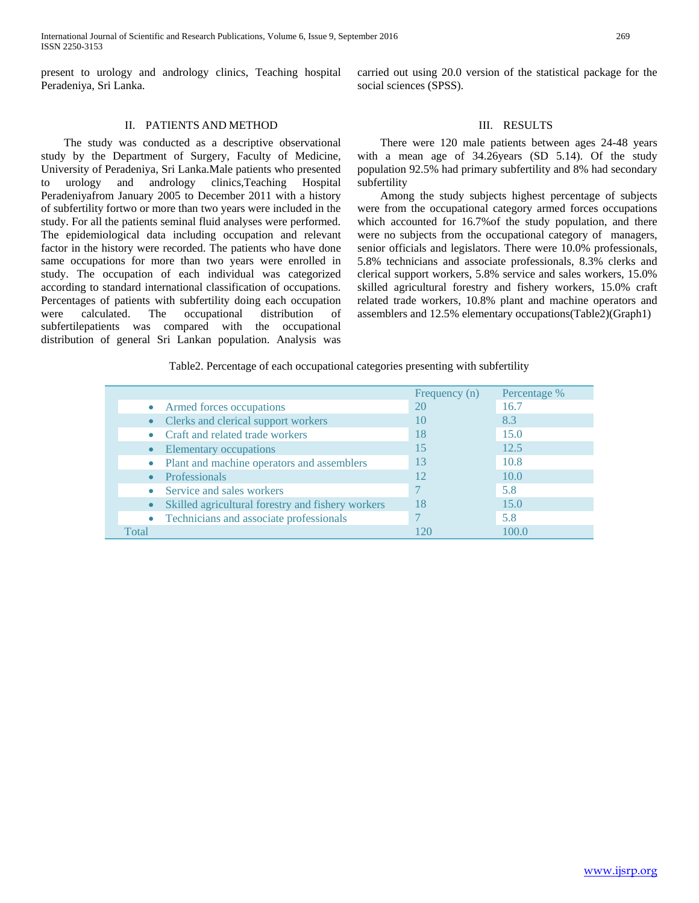present to urology and andrology clinics, Teaching hospital Peradeniya, Sri Lanka.

carried out using 20.0 version of the statistical package for the social sciences (SPSS).

## II. PATIENTS AND METHOD

 The study was conducted as a descriptive observational study by the Department of Surgery, Faculty of Medicine, University of Peradeniya, Sri Lanka.Male patients who presented urology and andrology clinics, Teaching Hospital Peradeniyafrom January 2005 to December 2011 with a history of subfertility fortwo or more than two years were included in the study. For all the patients seminal fluid analyses were performed. The epidemiological data including occupation and relevant factor in the history were recorded. The patients who have done same occupations for more than two years were enrolled in study. The occupation of each individual was categorized according to standard international classification of occupations. Percentages of patients with subfertility doing each occupation were calculated. The occupational distribution of subfertilepatients was compared with the occupational distribution of general Sri Lankan population. Analysis was

### III. RESULTS

 There were 120 male patients between ages 24-48 years with a mean age of 34.26years (SD 5.14). Of the study population 92.5% had primary subfertility and 8% had secondary subfertility

 Among the study subjects highest percentage of subjects were from the occupational category armed forces occupations which accounted for 16.7% of the study population, and there were no subjects from the occupational category of managers, senior officials and legislators. There were 10.0% professionals, 5.8% technicians and associate professionals, 8.3% clerks and clerical support workers, 5.8% service and sales workers, 15.0% skilled agricultural forestry and fishery workers, 15.0% craft related trade workers, 10.8% plant and machine operators and assemblers and 12.5% elementary occupations(Table2)(Graph1)

Table2. Percentage of each occupational categories presenting with subfertility

|       |                                                   | Frequency (n) | Percentage % |
|-------|---------------------------------------------------|---------------|--------------|
|       | Armed forces occupations                          | 20            | 16.7         |
|       | Clerks and clerical support workers               | 10            | 8.3          |
|       | Craft and related trade workers                   | 18            | 15.0         |
|       | Elementary occupations                            | 15            | 12.5         |
|       | Plant and machine operators and assemblers        | 13            | 10.8         |
|       | <b>Professionals</b>                              | 12            | 10.0         |
|       | Service and sales workers                         |               | 5.8          |
|       | Skilled agricultural forestry and fishery workers | 18            | 15.0         |
|       | Technicians and associate professionals           |               | 5.8          |
| Total |                                                   | 120           | 100.0        |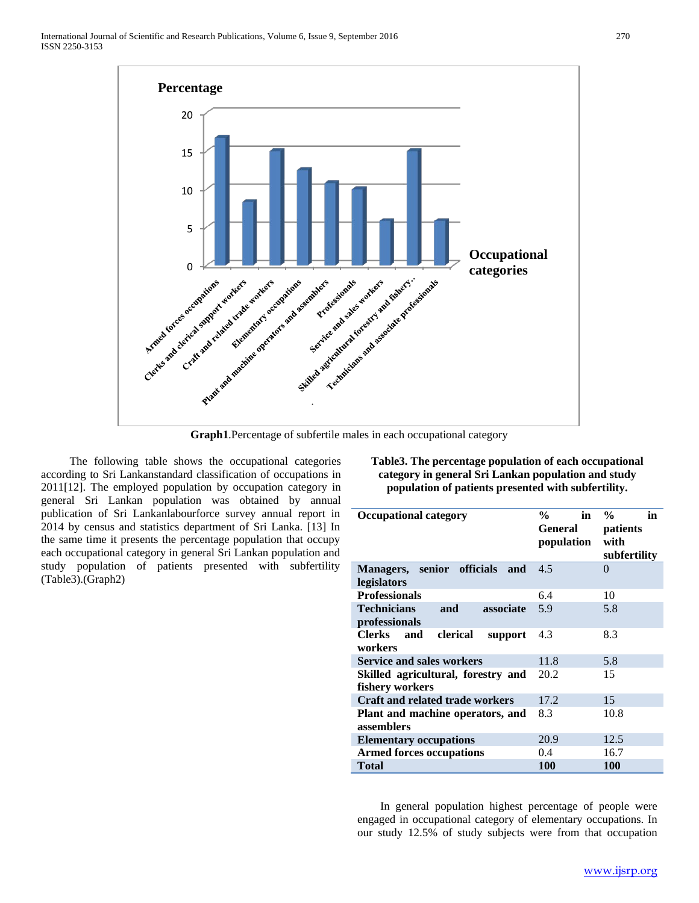

**Graph1**.Percentage of subfertile males in each occupational category

 The following table shows the occupational categories according to Sri Lankanstandard classification of occupations in 2011[12]. The employed population by occupation category in general Sri Lankan population was obtained by annual publication of Sri Lankanlabourforce survey annual report in 2014 by census and statistics department of Sri Lanka. [13] In the same time it presents the percentage population that occupy each occupational category in general Sri Lankan population and study population of patients presented with subfertility (Table3).(Graph2)

**Table3. The percentage population of each occupational category in general Sri Lankan population and study population of patients presented with subfertility.**

| <b>Occupational category</b>                | in<br>$\frac{6}{10}$<br><b>General</b><br>population | $\frac{0}{0}$<br>in<br>patients<br>with<br>subfertility |  |  |
|---------------------------------------------|------------------------------------------------------|---------------------------------------------------------|--|--|
| senior officials<br>and<br><b>Managers,</b> | 4.5                                                  | 0                                                       |  |  |
| legislators                                 |                                                      |                                                         |  |  |
| <b>Professionals</b>                        | 6.4                                                  | 10                                                      |  |  |
| <b>Technicians</b><br>and<br>associate      | 5.9                                                  | 5.8                                                     |  |  |
| professionals                               |                                                      |                                                         |  |  |
| Clerks<br>clerical<br>and<br>support        | 4.3                                                  | 8.3                                                     |  |  |
| workers                                     |                                                      |                                                         |  |  |
| <b>Service and sales workers</b>            | 11.8                                                 | 5.8                                                     |  |  |
| Skilled agricultural, forestry and          | 20.2                                                 | 15                                                      |  |  |
| fishery workers                             |                                                      |                                                         |  |  |
| <b>Craft and related trade workers</b>      | 17.2                                                 | 15                                                      |  |  |
| Plant and machine operators, and            | 8.3                                                  | 10.8                                                    |  |  |
| assemblers                                  |                                                      |                                                         |  |  |
| <b>Elementary occupations</b>               | 20.9                                                 | 12.5                                                    |  |  |
| <b>Armed forces occupations</b>             | 0.4                                                  | 16.7                                                    |  |  |
| Total                                       | <b>100</b>                                           | 100                                                     |  |  |

 In general population highest percentage of people were engaged in occupational category of elementary occupations. In our study 12.5% of study subjects were from that occupation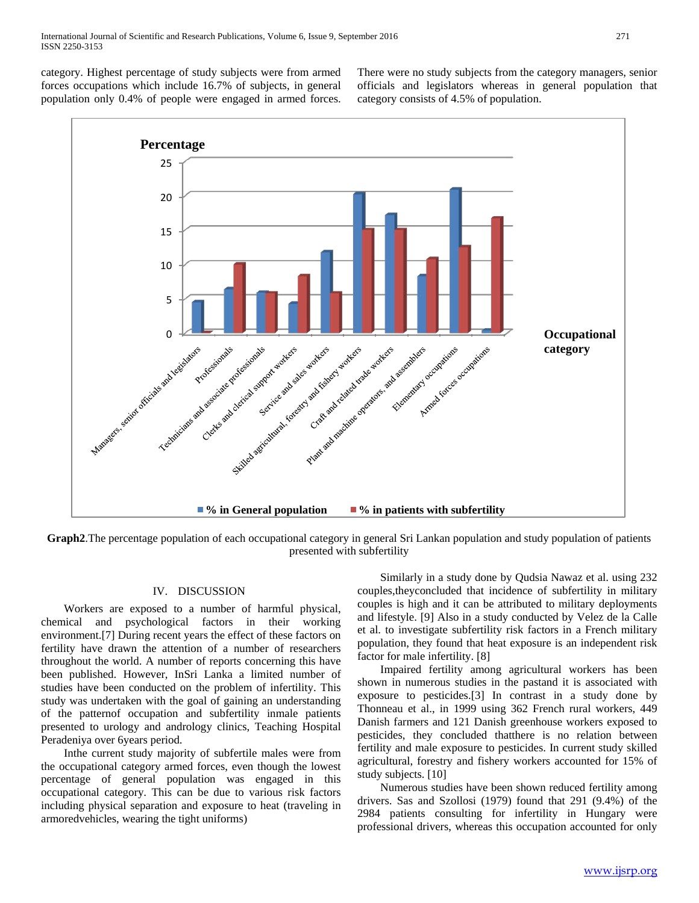category. Highest percentage of study subjects were from armed forces occupations which include 16.7% of subjects, in general population only 0.4% of people were engaged in armed forces. There were no study subjects from the category managers, senior officials and legislators whereas in general population that category consists of 4.5% of population.



**Graph2**.The percentage population of each occupational category in general Sri Lankan population and study population of patients presented with subfertility

# IV. DISCUSSION

 Workers are exposed to a number of harmful physical, chemical and psychological factors in their working environment.[7] During recent years the effect of these factors on fertility have drawn the attention of a number of researchers throughout the world. A number of reports concerning this have been published. However, InSri Lanka a limited number of studies have been conducted on the problem of infertility. This study was undertaken with the goal of gaining an understanding of the patternof occupation and subfertility inmale patients presented to urology and andrology clinics, Teaching Hospital Peradeniya over 6years period.

 Inthe current study majority of subfertile males were from the occupational category armed forces, even though the lowest percentage of general population was engaged in this occupational category. This can be due to various risk factors including physical separation and exposure to heat (traveling in armoredvehicles, wearing the tight uniforms)

 Similarly in a study done by Qudsia Nawaz et al. using 232 couples,theyconcluded that incidence of subfertility in military couples is high and it can be attributed to military deployments and lifestyle. [9] Also in a study conducted by Velez de la Calle et al. to investigate subfertility risk factors in a French military population, they found that heat exposure is an independent risk factor for male infertility. [8]

 Impaired fertility among agricultural workers has been shown in numerous studies in the pastand it is associated with exposure to pesticides.[3] In contrast in a study done by Thonneau et al., in 1999 using 362 French rural workers, 449 Danish farmers and 121 Danish greenhouse workers exposed to pesticides, they concluded thatthere is no relation between fertility and male exposure to pesticides. In current study skilled agricultural, forestry and fishery workers accounted for 15% of study subjects. [10]

 Numerous studies have been shown reduced fertility among drivers. Sas and Szollosi (1979) found that 291 (9.4%) of the 2984 patients consulting for infertility in Hungary were professional drivers, whereas this occupation accounted for only